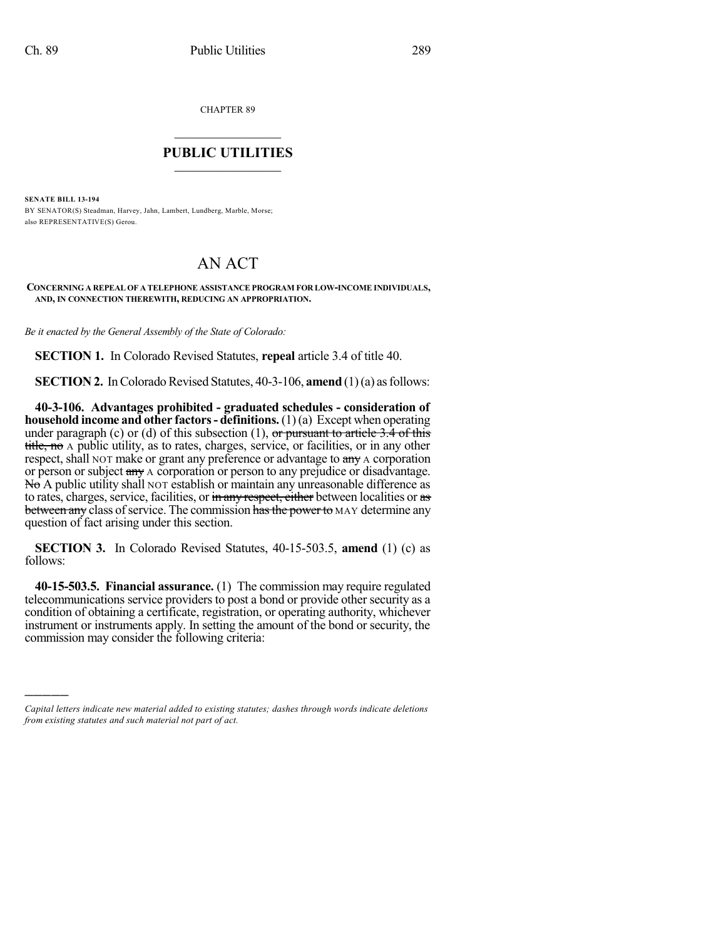)))))

CHAPTER 89

## $\overline{\phantom{a}}$  . The set of the set of the set of the set of the set of the set of the set of the set of the set of the set of the set of the set of the set of the set of the set of the set of the set of the set of the set o **PUBLIC UTILITIES** \_\_\_\_\_\_\_\_\_\_\_\_\_\_\_

**SENATE BILL 13-194** BY SENATOR(S) Steadman, Harvey, Jahn, Lambert, Lundberg, Marble, Morse; also REPRESENTATIVE(S) Gerou.

## AN ACT

**CONCERNING A REPEAL OF A TELEPHONE ASSISTANCE PROGRAM FOR LOW-INCOME INDIVIDUALS, AND, IN CONNECTION THEREWITH, REDUCING AN APPROPRIATION.**

*Be it enacted by the General Assembly of the State of Colorado:*

**SECTION 1.** In Colorado Revised Statutes, **repeal** article 3.4 of title 40.

**SECTION 2.** In Colorado Revised Statutes, 40-3-106, **amend** (1)(a) as follows:

**40-3-106. Advantages prohibited - graduated schedules - consideration of household income and other factors- definitions.**(1)(a) Except when operating under paragraph (c) or (d) of this subsection (1), or pursuant to article 3.4 of this title, no A public utility, as to rates, charges, service, or facilities, or in any other respect, shall NOT make or grant any preference or advantage to any A corporation or person or subject any A corporation or person to any prejudice or disadvantage. No A public utility shall NOT establish or maintain any unreasonable difference as to rates, charges, service, facilities, or in any respect, either between localities or as between any class of service. The commission has the power to MAY determine any question of fact arising under this section.

**SECTION 3.** In Colorado Revised Statutes, 40-15-503.5, **amend** (1) (c) as follows:

**40-15-503.5. Financial assurance.** (1) The commission may require regulated telecommunications service providers to post a bond or provide other security as a condition of obtaining a certificate, registration, or operating authority, whichever instrument or instruments apply. In setting the amount of the bond or security, the commission may consider the following criteria:

*Capital letters indicate new material added to existing statutes; dashes through words indicate deletions from existing statutes and such material not part of act.*